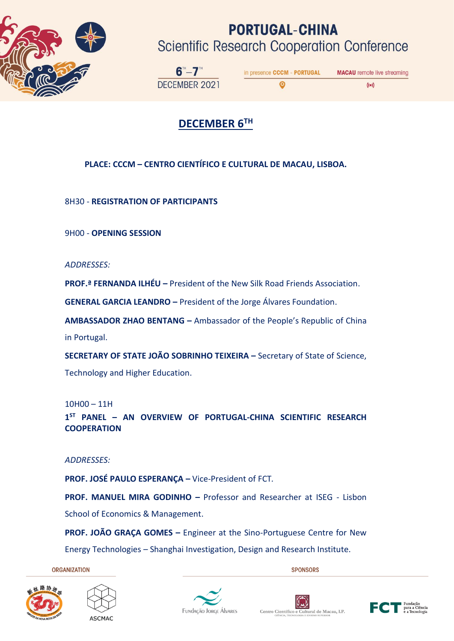

## **PORTUGAL-CHINA Scientific Research Cooperation Conference**

◎

 $6 - 7$ DECEMBER 2021

in presence CCCM - PORTUGAL **MACAU** remote live streaming

 $((\bullet))$ 

## **DECEMBER 6TH**

#### **PLACE: CCCM – CENTRO CIENTÍFICO E CULTURAL DE MACAU, LISBOA.**

8H30 - **REGISTRATION OF PARTICIPANTS**

9H00 - **OPENING SESSION** 

*ADDRESSES:* 

**PROF.ª FERNANDA ILHÉU –** President of the New Silk Road Friends Association.

**GENERAL GARCIA LEANDRO –** President of the Jorge Álvares Foundation.

**AMBASSADOR ZHAO BENTANG –** Ambassador of the People's Republic of China in Portugal.

**SECRETARY OF STATE JOÃO SOBRINHO TEIXEIRA –** Secretary of State of Science, Technology and Higher Education.

10H00 – 11H

**1 ST PANEL – AN OVERVIEW OF PORTUGAL-CHINA SCIENTIFIC RESEARCH COOPERATION**

*ADDRESSES:* 

**PROF. JOSÉ PAULO ESPERANÇA –** Vice-President of FCT*.*

**PROF. MANUEL MIRA GODINHO –** Professor and Researcher at ISEG - Lisbon School of Economics & Management.

**PROF. JOÃO GRAÇA GOMES –** Engineer at the Sino-Portuguese Centre for New Energy Technologies – Shanghai Investigation, Design and Research Institute.

**ORGANIZATION** 

**SPONSORS** 









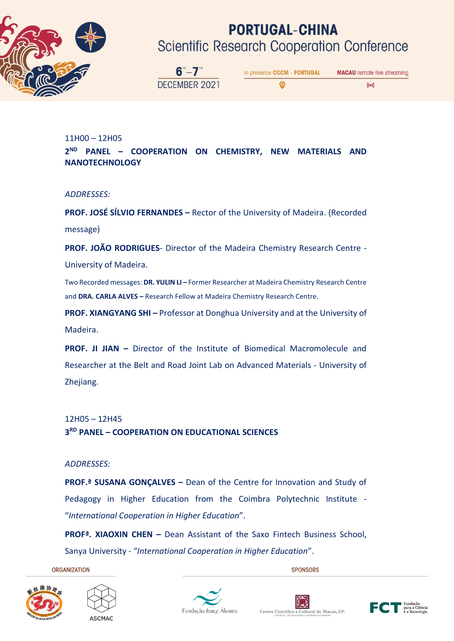

# **PORTUGAL-CHINA**

**Scientific Research Cooperation Conference** 

 $6 - 7$ DECEMBER 2021

in presence CCCM - PORTUGAL **MACAU** remote live streaming ◎  $((\bullet))$ 

#### 11H00 – 12H05 **2 ND PANEL – COOPERATION ON CHEMISTRY, NEW MATERIALS AND NANOTECHNOLOGY**

#### *ADDRESSES:*

**PROF. JOSÉ SÍLVIO FERNANDES –** Rector of the University of Madeira. (Recorded message)

**PROF. JOÃO RODRIGUES**- Director of the Madeira Chemistry Research Centre -

University of Madeira.

Two Recorded messages: **DR. YULIN LI –** Former Researcher at Madeira Chemistry Research Centre and **DRA. CARLA ALVES –** Research Fellow at Madeira Chemistry Research Centre.

**PROF. XIANGYANG SHI –** Professor at Donghua University and at the University of Madeira.

**PROF. JI JIAN –** Director of the Institute of Biomedical Macromolecule and Researcher at the Belt and Road Joint Lab on Advanced Materials - University of Zhejiang.

#### 12H05 – 12H45

#### **3 RD PANEL – COOPERATION ON EDUCATIONAL SCIENCES**

#### *ADDRESSES:*

**PROF.ª SUSANA GONÇALVES –** Dean of the Centre for Innovation and Study of Pedagogy in Higher Education from the Coimbra Polytechnic Institute -"*International Cooperation in Higher Education*".

**PROFª. XIAOXIN CHEN –** Dean Assistant of the Saxo Fintech Business School, Sanya University - "*International Cooperation in Higher Education*".

**ORGANIZATION** 

**SPONSORS** 









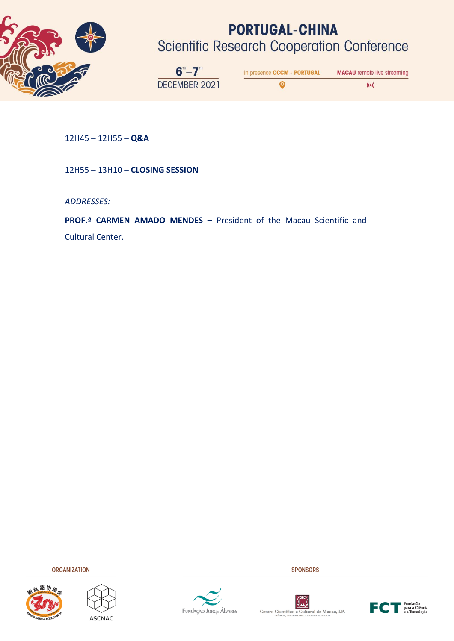

# **PORTUGAL-CHINA**

**Scientific Research Cooperation Conference** 

 $6 - 7$ DECEMBER 2021

in presence CCCM - PORTUGAL **MACAU** remote live streaming  $\bullet$ 

 $\left(\left(\bullet\right)\right)$ 

12H45 – 12H55 – **Q&A**

12H55 – 13H10 – **CLOSING SESSION**

*ADDRESSES:* 

**PROF.ª CARMEN AMADO MENDES –** President of the Macau Scientific and

Cultural Center.

**ORGANIZATION** 









**SPONSORS** 



Centro Científico e Cultural de Macau, I.P.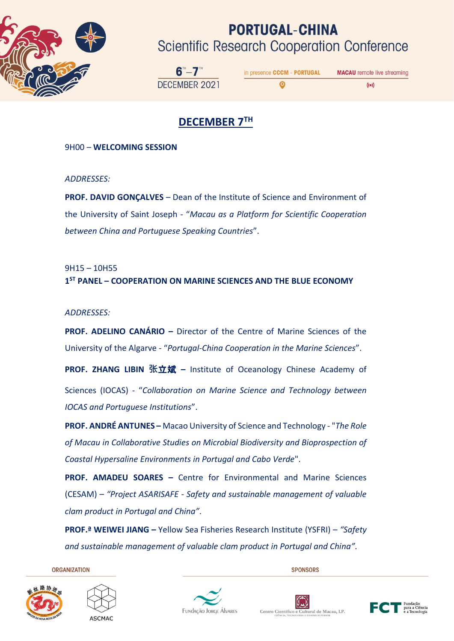

## **PORTUGAL-CHINA Scientific Research Cooperation Conference**

O

 $6 - 7$ DECEMBER 2021

in presence CCCM - PORTUGAL **MACAU** remote live streaming

 $((\bullet))$ 

### **DECEMBER 7TH**

9H00 – **WELCOMING SESSION**

*ADDRESSES:* 

**PROF. DAVID GONÇALVES** – Dean of the Institute of Science and Environment of the University of Saint Joseph - "*Macau as a Platform for Scientific Cooperation between China and Portuguese Speaking Countries*".

9H15 – 10H55 **1 ST PANEL – COOPERATION ON MARINE SCIENCES AND THE BLUE ECONOMY**

*ADDRESSES:*

**PROF. ADELINO CANÁRIO –** Director of the Centre of Marine Sciences of the University of the Algarve - "*Portugal-China Cooperation in the Marine Sciences*".

**PROF. ZHANG LIBIN 张**立斌 **–** Institute of Oceanology Chinese Academy of Sciences (IOCAS) - "*Collaboration on Marine Science and Technology between IOCAS and Portuguese Institutions*".

**PROF. ANDRÉ ANTUNES –** Macao University of Science and Technology - "*The Role of Macau in Collaborative Studies on Microbial Biodiversity and Bioprospection of Coastal Hypersaline Environments in Portugal and Cabo Verde*".

**PROF. AMADEU SOARES –** Centre for Environmental and Marine Sciences (CESAM) – *"Project ASARISAFE - Safety and sustainable management of valuable clam product in Portugal and China"*.

**PROF.ª WEIWEI JIANG –** Yellow Sea Fisheries Research Institute (YSFRI) – *"Safety and sustainable management of valuable clam product in Portugal and China"*.

**ORGANIZATION**